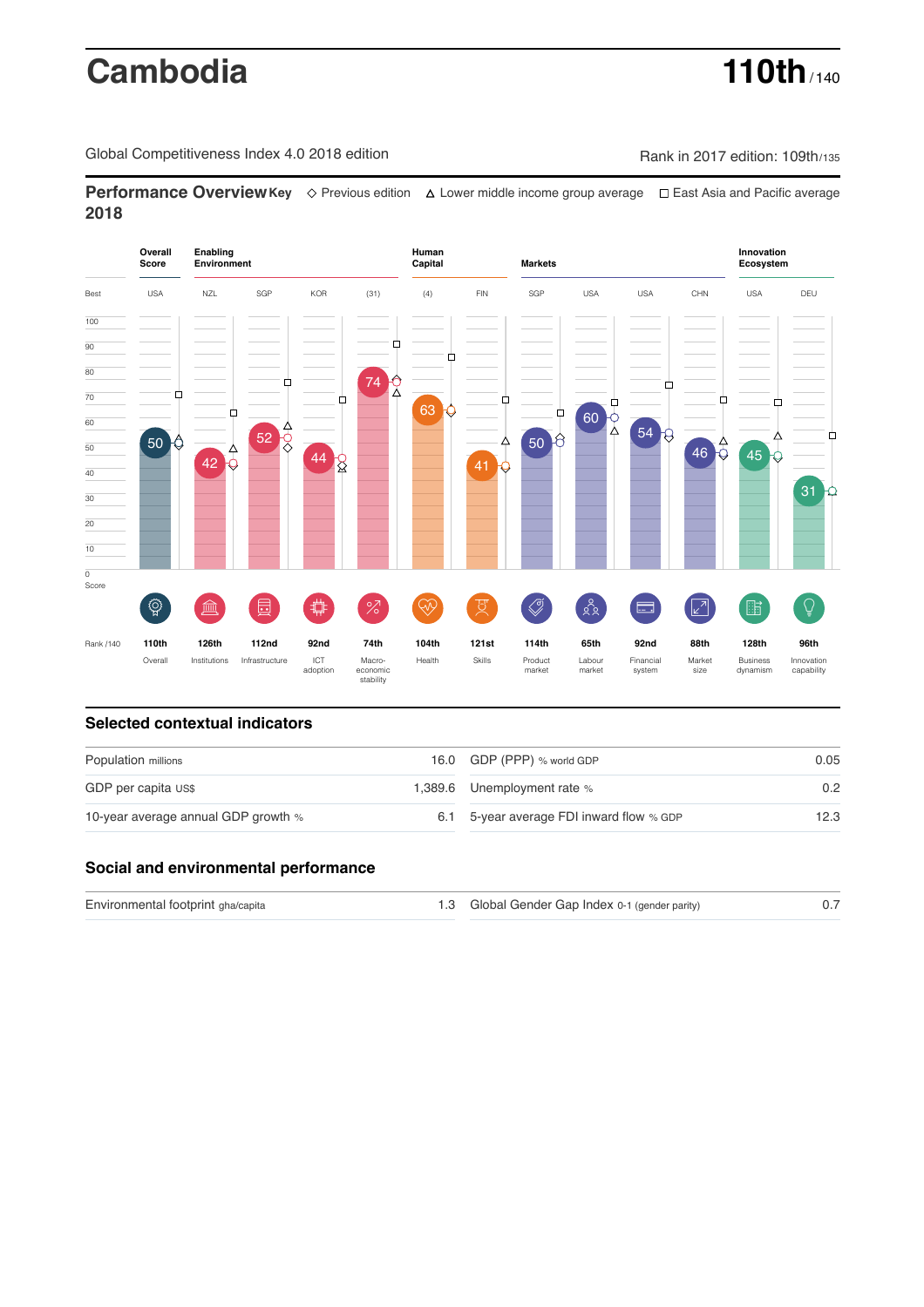# **Cambodia 110th** / 140

Global Competitiveness Index 4.0 2018 edition Company Rank in 2017 edition: 109th/135

**Performance OverviewKey** Previous edition Lower middle income group average East Asia and Pacific average **2018**



## **Selected contextual indicators**

| Population millions                 |     | 16.0 GDP (PPP) % world GDP           | 0.05          |  |
|-------------------------------------|-----|--------------------------------------|---------------|--|
| GDP per capita US\$                 |     | 1,389.6 Unemployment rate %          | $0.2^{\circ}$ |  |
| 10-year average annual GDP growth % | 6.1 | 5-year average FDI inward flow % GDP | 12.3          |  |

### **Social and environmental performance**

| Environmental footprint gha/capita | 1.3 Global Gender Gap Index 0-1 (gender parity) |  |
|------------------------------------|-------------------------------------------------|--|
|                                    |                                                 |  |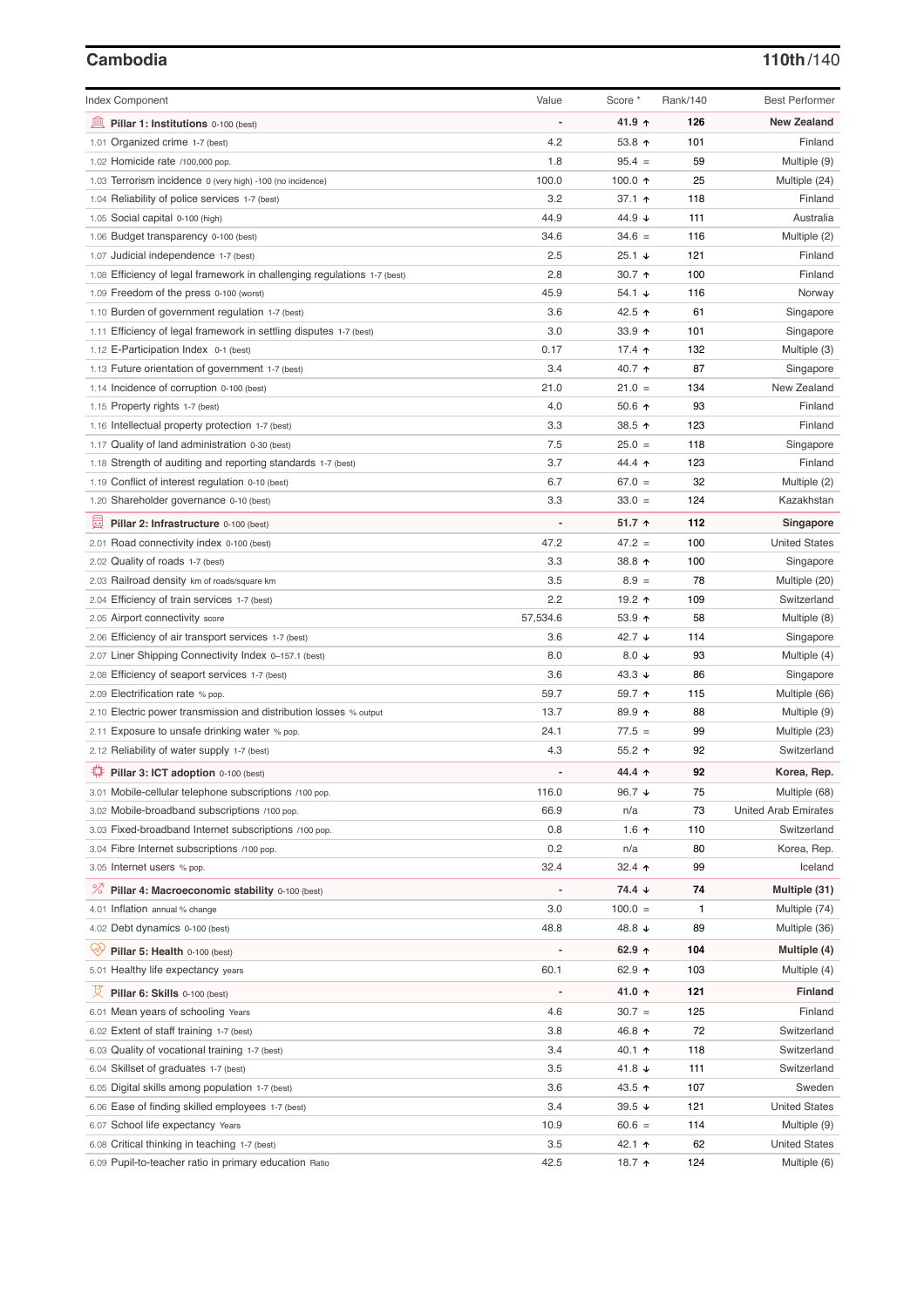### **Cambodia 110th**/140

| <b>Index Component</b>                                                                       | Value    | Score *          | Rank/140 | <b>Best Performer</b>        |
|----------------------------------------------------------------------------------------------|----------|------------------|----------|------------------------------|
| 無<br>Pillar 1: Institutions 0-100 (best)                                                     |          | 41.9 ↑           | 126      | <b>New Zealand</b>           |
| 1.01 Organized crime 1-7 (best)                                                              | 4.2      | 53.8 $\uparrow$  | 101      | Finland                      |
| 1.02 Homicide rate /100,000 pop.                                                             | 1.8      | $95.4 =$         | 59       | Multiple (9)                 |
| 1.03 Terrorism incidence 0 (very high) -100 (no incidence)                                   | 100.0    | 100.0 $\uparrow$ | 25       | Multiple (24)                |
| 1.04 Reliability of police services 1-7 (best)                                               | 3.2      | 37.1 $\uparrow$  | 118      | Finland                      |
| 1.05 Social capital 0-100 (high)                                                             | 44.9     | 44.9 ↓           | 111      | Australia                    |
| 1.06 Budget transparency 0-100 (best)                                                        | 34.6     | $34.6 =$         | 116      | Multiple (2)                 |
| 1.07 Judicial independence 1-7 (best)                                                        | 2.5      | $25.1 +$         | 121      | Finland                      |
| 1.08 Efficiency of legal framework in challenging regulations 1-7 (best)                     | 2.8      | 30.7 $\uparrow$  | 100      | Finland                      |
| 1.09 Freedom of the press 0-100 (worst)                                                      | 45.9     | 54.1 $\sqrt{ }$  | 116      | Norway                       |
| 1.10 Burden of government regulation 1-7 (best)                                              | 3.6      | 42.5 ↑           | 61       | Singapore                    |
| 1.11 Efficiency of legal framework in settling disputes 1-7 (best)                           | 3.0      | 33.9 $\uparrow$  | 101      | Singapore                    |
| 1.12 E-Participation Index 0-1 (best)                                                        | 0.17     | 17.4 $\uparrow$  | 132      | Multiple (3)                 |
| 1.13 Future orientation of government 1-7 (best)                                             | 3.4      | 40.7 ↑           | 87       | Singapore                    |
| 1.14 Incidence of corruption 0-100 (best)                                                    | 21.0     | $21.0 =$         | 134      | New Zealand                  |
| 1.15 Property rights 1-7 (best)                                                              | 4.0      | 50.6 $\uparrow$  | 93       | Finland                      |
| 1.16 Intellectual property protection 1-7 (best)                                             | 3.3      | 38.5 ↑           | 123      | Finland                      |
| 1.17 Quality of land administration 0-30 (best)                                              | 7.5      | $25.0 =$         | 118      | Singapore                    |
| 1.18 Strength of auditing and reporting standards 1-7 (best)                                 | 3.7      | 44.4 ተ           | 123      | Finland                      |
| 1.19 Conflict of interest regulation 0-10 (best)                                             | 6.7      | $67.0 =$         | 32       | Multiple (2)                 |
| 1.20 Shareholder governance 0-10 (best)                                                      | 3.3      | $33.0 =$         | 124      | Kazakhstan                   |
| 曼<br>Pillar 2: Infrastructure 0-100 (best)                                                   |          | $51.7$ ↑         | 112      | Singapore                    |
| 2.01 Road connectivity index 0-100 (best)                                                    | 47.2     | $47.2 =$         | 100      | <b>United States</b>         |
| 2.02 Quality of roads 1-7 (best)                                                             | 3.3      | 38.8 个           | 100      | Singapore                    |
| 2.03 Railroad density km of roads/square km                                                  | 3.5      | $8.9 =$          | 78       | Multiple (20)                |
| 2.04 Efficiency of train services 1-7 (best)                                                 | 2.2      | 19.2 ↑           | 109      | Switzerland                  |
| 2.05 Airport connectivity score                                                              | 57,534.6 | 53.9 个           | 58       | Multiple (8)                 |
| 2.06 Efficiency of air transport services 1-7 (best)                                         | 3.6      | 42.7 ↓           | 114      | Singapore                    |
| 2.07 Liner Shipping Connectivity Index 0-157.1 (best)                                        | 8.0      | 8.0 $\downarrow$ | 93       | Multiple (4)                 |
|                                                                                              | 3.6      | 43.3 $\sqrt{ }$  | 86       |                              |
| 2.08 Efficiency of seaport services 1-7 (best)                                               | 59.7     | 59.7 ↑           | 115      | Singapore                    |
| 2.09 Electrification rate % pop.                                                             | 13.7     | 89.9 个           | 88       | Multiple (66)                |
| 2.10 Electric power transmission and distribution losses % output                            | 24.1     | $77.5 =$         | 99       | Multiple (9)                 |
| 2.11 Exposure to unsafe drinking water % pop.<br>2.12 Reliability of water supply 1-7 (best) | 4.3      | $55.2$ ↑         | 92       | Multiple (23)<br>Switzerland |
|                                                                                              |          |                  |          |                              |
| Pillar 3: ICT adoption 0-100 (best)                                                          |          | 44.4 ↑           | 92       | Korea, Rep.                  |
| 3.01 Mobile-cellular telephone subscriptions /100 pop.                                       | 116.0    | 96.7 ↓           | 75       | Multiple (68)                |
| 3.02 Mobile-broadband subscriptions /100 pop.                                                | 66.9     | n/a              | 73       | <b>United Arab Emirates</b>  |
| 3.03 Fixed-broadband Internet subscriptions /100 pop.                                        | 0.8      | 1.6 $\uparrow$   | 110      | Switzerland                  |
| 3.04 Fibre Internet subscriptions /100 pop.                                                  | 0.2      | n/a              | 80       | Korea, Rep.                  |
| 3.05 Internet users % pop.                                                                   | 32.4     | 32.4 $\uparrow$  | 99       | Iceland                      |
| <sup>%</sup> Pillar 4: Macroeconomic stability 0-100 (best)                                  |          | 74.4 ↓           | 74       | Multiple (31)                |
| 4.01 Inflation annual % change                                                               | 3.0      | $100.0 =$        | 1        | Multiple (74)                |
| 4.02 Debt dynamics 0-100 (best)                                                              | 48.8     | 48.8 ↓           | 89       | Multiple (36)                |
| Ğ,<br>Pillar 5: Health 0-100 (best)                                                          |          | 62.9 $\uparrow$  | 104      | Multiple (4)                 |
| 5.01 Healthy life expectancy years                                                           | 60.1     | 62.9 ↑           | 103      | Multiple (4)                 |
| 섯<br>Pillar 6: Skills 0-100 (best)                                                           |          | 41.0 ↑           | 121      | <b>Finland</b>               |
| 6.01 Mean years of schooling Years                                                           | 4.6      | $30.7 =$         | 125      | Finland                      |
| 6.02 Extent of staff training 1-7 (best)                                                     | 3.8      | 46.8 ↑           | 72       | Switzerland                  |
| 6.03 Quality of vocational training 1-7 (best)                                               | 3.4      | 40.1 ↑           | 118      | Switzerland                  |
| 6.04 Skillset of graduates 1-7 (best)                                                        | 3.5      | 41.8 ↓           | 111      | Switzerland                  |
| 6.05 Digital skills among population 1-7 (best)                                              | 3.6      | 43.5 ↑           | 107      | Sweden                       |
| 6.06 Ease of finding skilled employees 1-7 (best)                                            | 3.4      | $39.5 +$         | 121      | <b>United States</b>         |
| 6.07 School life expectancy Years                                                            | 10.9     | $60.6 =$         | 114      | Multiple (9)                 |
| 6.08 Critical thinking in teaching 1-7 (best)                                                | 3.5      | 42.1 ↑           | 62       | <b>United States</b>         |
| 6.09 Pupil-to-teacher ratio in primary education Ratio                                       | 42.5     | 18.7 ተ           | 124      | Multiple (6)                 |